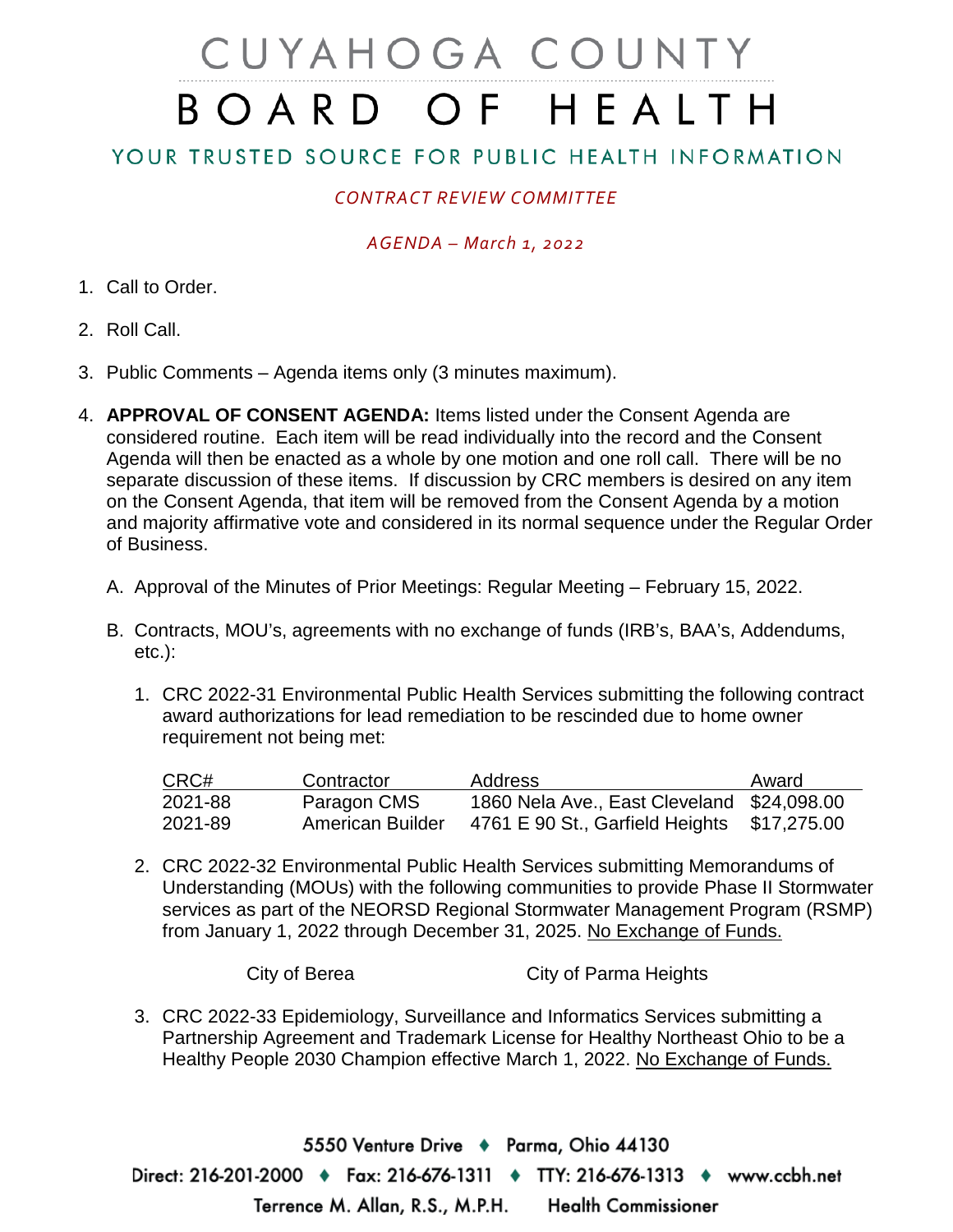# CUYAHOGA COUNTY BOARD OF HEALTH

## YOUR TRUSTED SOURCE FOR PUBLIC HEALTH INFORMATION

## *CONTRACT REVIEW COMMITTEE*

### *AGENDA – March 1, 2022*

- 1. Call to Order.
- 2. Roll Call.
- 3. Public Comments Agenda items only (3 minutes maximum).
- 4. **APPROVAL OF CONSENT AGENDA:** Items listed under the Consent Agenda are considered routine. Each item will be read individually into the record and the Consent Agenda will then be enacted as a whole by one motion and one roll call. There will be no separate discussion of these items. If discussion by CRC members is desired on any item on the Consent Agenda, that item will be removed from the Consent Agenda by a motion and majority affirmative vote and considered in its normal sequence under the Regular Order of Business.
	- A. Approval of the Minutes of Prior Meetings: Regular Meeting February 15, 2022.
	- B. Contracts, MOU's, agreements with no exchange of funds (IRB's, BAA's, Addendums, etc.):
		- 1. CRC 2022-31 Environmental Public Health Services submitting the following contract award authorizations for lead remediation to be rescinded due to home owner requirement not being met:

| CRC#    | Contractor       | <b>Address</b>                             | Award       |
|---------|------------------|--------------------------------------------|-------------|
| 2021-88 | Paragon CMS      | 1860 Nela Ave., East Cleveland \$24,098.00 |             |
| 2021-89 | American Builder | 4761 E 90 St., Garfield Heights            | \$17,275.00 |

2. CRC 2022-32 Environmental Public Health Services submitting Memorandums of Understanding (MOUs) with the following communities to provide Phase II Stormwater services as part of the NEORSD Regional Stormwater Management Program (RSMP) from January 1, 2022 through December 31, 2025. No Exchange of Funds.

City of Berea City of Parma Heights

3. CRC 2022-33 Epidemiology, Surveillance and Informatics Services submitting a Partnership Agreement and Trademark License for Healthy Northeast Ohio to be a Healthy People 2030 Champion effective March 1, 2022. No Exchange of Funds.

5550 Venture Drive + Parma, Ohio 44130 Direct: 216-201-2000 ♦ Fax: 216-676-1311 ♦ TTY: 216-676-1313 ♦ www.ccbh.net Terrence M. Allan, R.S., M.P.H. **Health Commissioner**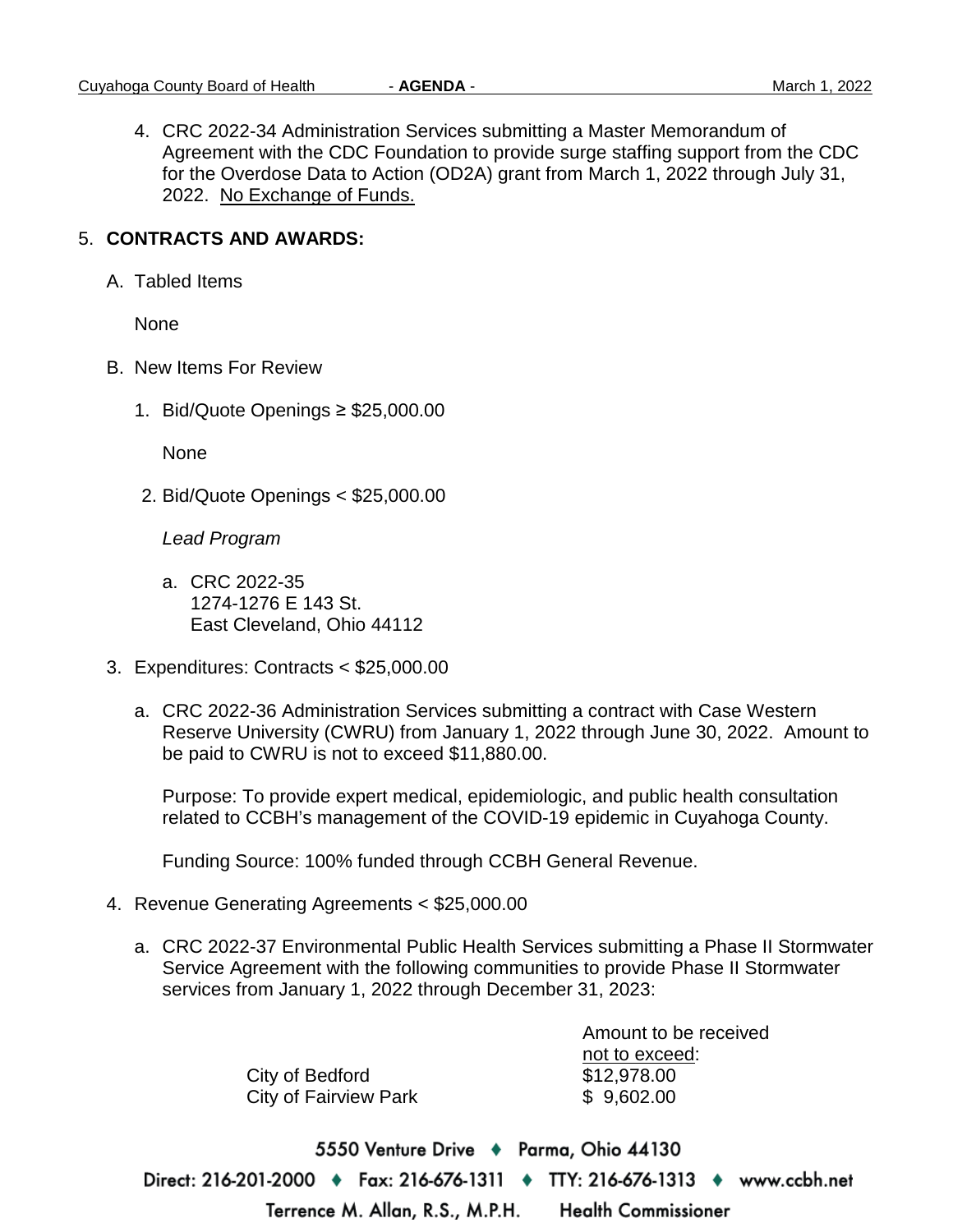4. CRC 2022-34 Administration Services submitting a Master Memorandum of Agreement with the CDC Foundation to provide surge staffing support from the CDC for the Overdose Data to Action (OD2A) grant from March 1, 2022 through July 31, 2022. No Exchange of Funds.

### 5. **CONTRACTS AND AWARDS:**

A. Tabled Items

None

- B. New Items For Review
	- 1. Bid/Quote Openings ≥ \$25,000.00

None

2. Bid/Quote Openings < \$25,000.00

*Lead Program*

- a. CRC 2022-35 1274-1276 E 143 St. East Cleveland, Ohio 44112
- 3. Expenditures: Contracts < \$25,000.00
	- a. CRC 2022-36 Administration Services submitting a contract with Case Western Reserve University (CWRU) from January 1, 2022 through June 30, 2022. Amount to be paid to CWRU is not to exceed \$11,880.00.

Purpose: To provide expert medical, epidemiologic, and public health consultation related to CCBH's management of the COVID-19 epidemic in Cuyahoga County.

Funding Source: 100% funded through CCBH General Revenue.

- 4. Revenue Generating Agreements < \$25,000.00
	- a. CRC 2022-37 Environmental Public Health Services submitting a Phase II Stormwater Service Agreement with the following communities to provide Phase II Stormwater services from January 1, 2022 through December 31, 2023:

|                              | Amount to be received |
|------------------------------|-----------------------|
|                              | not to exceed:        |
| City of Bedford              | \$12,978.00           |
| <b>City of Fairview Park</b> | \$9,602.00            |
|                              |                       |
|                              |                       |

5550 Venture Drive ♦ Parma, Ohio 44130 Direct: 216-201-2000 ♦ Fax: 216-676-1311 ♦ TTY: 216-676-1313 ♦ www.ccbh.net Terrence M. Allan, R.S., M.P.H. **Health Commissioner**